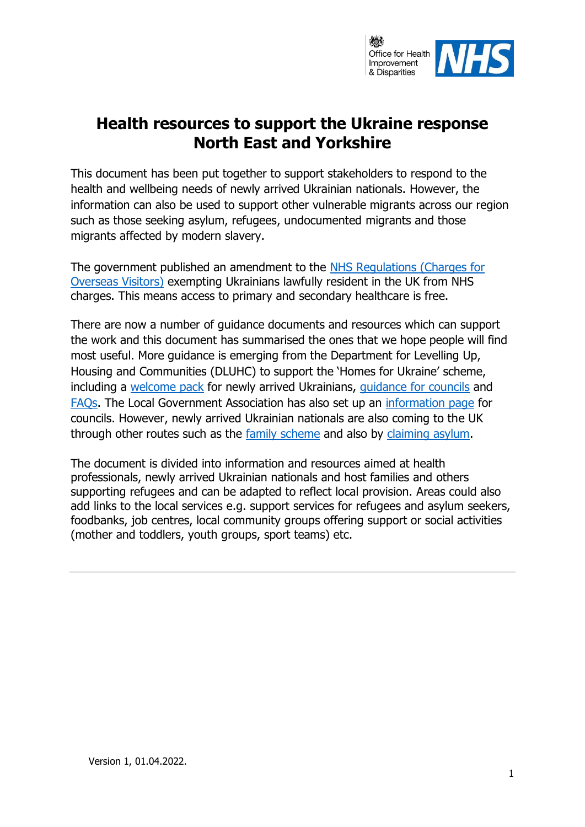

## **Health resources to support the Ukraine response North East and Yorkshire**

This document has been put together to support stakeholders to respond to the health and wellbeing needs of newly arrived Ukrainian nationals. However, the information can also be used to support other vulnerable migrants across our region such as those seeking asylum, refugees, undocumented migrants and those migrants affected by modern slavery.

The government published an amendment to the [NHS Regulations \(Charges for](https://www.legislation.gov.uk/uksi/2022/318/regulation/2/made)  [Overseas Visitors\)](https://www.legislation.gov.uk/uksi/2022/318/regulation/2/made) exempting Ukrainians lawfully resident in the UK from NHS charges. This means access to primary and secondary healthcare is free.

There are now a number of guidance documents and resources which can support the work and this document has summarised the ones that we hope people will find most useful. More guidance is emerging from the Department for Levelling Up, Housing and Communities (DLUHC) to support the 'Homes for Ukraine' scheme, including a [welcome pack](https://www.gov.uk/government/publications/welcome-a-guide-for-ukrainians-arriving-in-the-uk?utm_medium=email&utm_campaign=govuk-notifications-topic&utm_source=d702f42d-0938-4f53-83e4-053da97ab54e&utm_content=immediately) for newly arrived Ukrainians, [guidance for councils](https://www.gov.uk/guidance/homes-for-ukraine-guidance-for-councils) and [FAQs.](https://www.gov.uk/guidance/homes-for-ukraine-scheme-frequently-asked-questions?msclkid=726dbefbb0d711ec9c27cf95e358a7b9) The Local Government Association has also set up an [information page](https://www.local.gov.uk/topics/communities/refugees-and-asylum-seekers/ukraine-council-information) for councils. However, newly arrived Ukrainian nationals are also coming to the UK through other routes such as the [family scheme](https://www.gov.uk/guidance/apply-for-a-ukraine-family-scheme-visa?msclkid=d1ad1f6fb0d811ec98c0694d66fd5513) and also by [claiming asylum.](https://www.gov.uk/claim-asylum?msclkid=f6198a72b0d811ec8c5a6b8b46ec7d59)

The document is divided into information and resources aimed at health professionals, newly arrived Ukrainian nationals and host families and others supporting refugees and can be adapted to reflect local provision. Areas could also add links to the local services e.g. support services for refugees and asylum seekers, foodbanks, job centres, local community groups offering support or social activities (mother and toddlers, youth groups, sport teams) etc.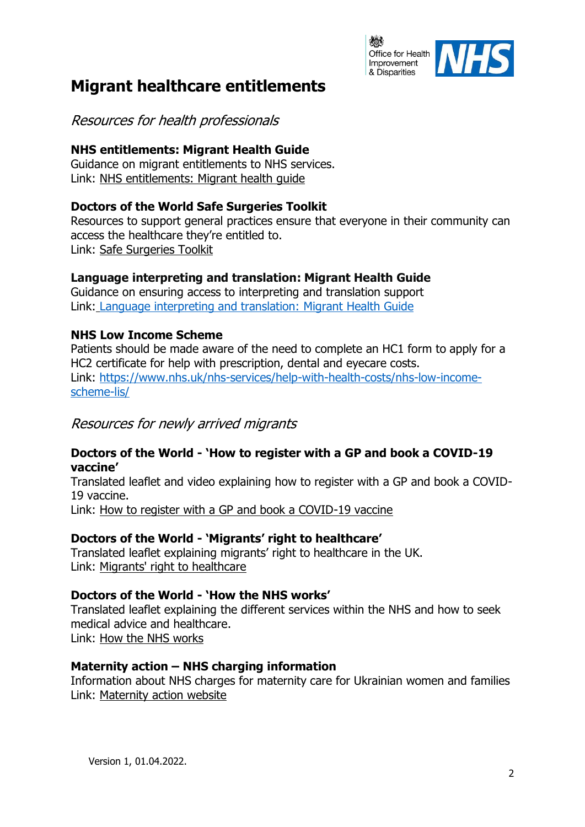

## **Migrant healthcare entitlements**

Resources for health professionals

## **NHS entitlements: Migrant Health Guide**

Guidance on migrant entitlements to NHS services. Link: [NHS entitlements: Migrant health guide](https://www.gov.uk/guidance/nhs-entitlements-migrant-health-guide)

### **Doctors of the World Safe Surgeries Toolkit**

Resources to support general practices ensure that everyone in their community can access the healthcare they're entitled to. Link: [Safe Surgeries Toolkit](https://www.doctorsoftheworld.org.uk/what-we-stand-for/supporting-medics/safe-surgeries-initiative/safe-surgeries-toolkit/)

## **Language interpreting and translation: Migrant Health Guide**

Guidance on ensuring access to interpreting and translation support Link: [Language interpreting and translation: Migrant Health Guide](https://www.gov.uk/guidance/language-interpretation-migrant-health-guide?msclkid=9c94b2ebb0db11ecaf77f81c6382435e)

## **NHS Low Income Scheme**

Patients should be made aware of the need to complete an HC1 form to apply for a HC2 certificate for help with prescription, dental and eyecare costs. Link: [https://www.nhs.uk/nhs-services/help-with-health-costs/nhs-low-income](https://www.nhs.uk/nhs-services/help-with-health-costs/nhs-low-income-scheme-lis/)[scheme-lis/](https://www.nhs.uk/nhs-services/help-with-health-costs/nhs-low-income-scheme-lis/)

## Resources for newly arrived migrants

#### **Doctors of the World - 'How to register with a GP and book a COVID-19 vaccine'**

Translated leaflet and video explaining how to register with a GP and book a COVID-19 vaccine.

Link: [How to register with a GP and book a COVID-19 vaccine](https://www.doctorsoftheworld.org.uk/translated-health-information/?_gr=how-to-register-with-a-gp-and-book-a-vaccine&_paged=4)

## **Doctors of the World - 'Migrants' right to healthcare'**

Translated leaflet explaining migrants' right to healthcare in the UK. Link: [Migrants' right to healthcare](https://www.doctorsoftheworld.org.uk/translated-health-information/?_search=migrants%20right%20to%20healthcare&_gr=navigating-the-nhs-and-right-to-healthcare)

#### **Doctors of the World - 'How the NHS works'**

Translated leaflet explaining the different services within the NHS and how to seek medical advice and healthcare. Link: [How the NHS works](https://www.doctorsoftheworld.org.uk/translated-health-information/?_search=how%20the%20nhs%20works&_gr=navigating-the-nhs-and-right-to-healthcare)

#### **Maternity action – NHS charging information**

Information about NHS charges for maternity care for Ukrainian women and families Link: [Maternity action website](https://eur03.safelinks.protection.outlook.com/?url=https%3A%2F%2Fmaternityaction.org.uk%2Fadvice%2Fnhs-charges-for-maternity-care-for-ukranian-women-and-families-an-information-sheet-to-reflect-recent-government-announcements%2F&data=04%7C01%7CMo.Sadiq%40dhsc.gov.uk%7C510447e84d8c499e2d8508da037b570c%7C61278c3091a84c318c1fef4de8973a1c%7C1%7C0%7C637826125515972582%7CUnknown%7CTWFpbGZsb3d8eyJWIjoiMC4wLjAwMDAiLCJQIjoiV2luMzIiLCJBTiI6Ik1haWwiLCJXVCI6Mn0%3D%7C3000&sdata=dQ30Z92Vutk7X64RtnNahJR032QBeZmm3tOPEhlrc%2BE%3D&reserved=0)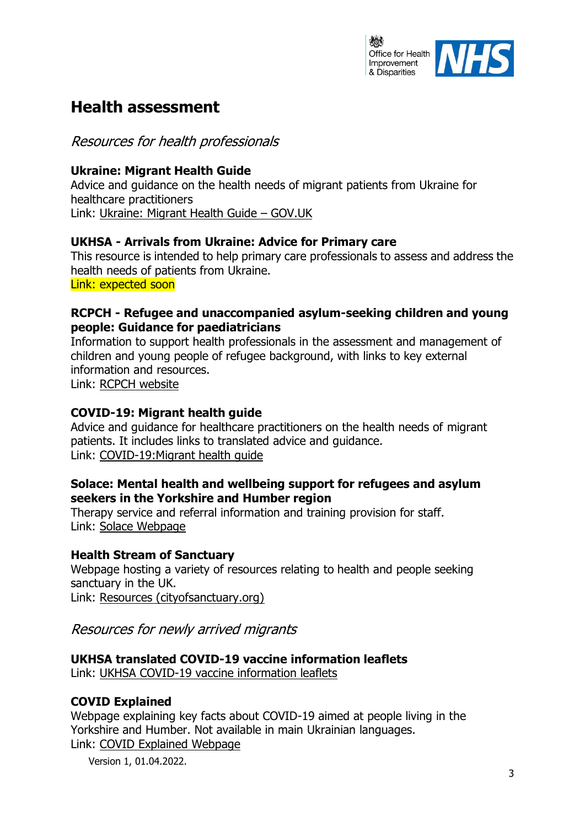

## **Health assessment**

Resources for health professionals

### **Ukraine: Migrant Health Guide**

Advice and guidance on the health needs of migrant patients from Ukraine for healthcare practitioners Link: [Ukraine: Migrant Health Guide](https://eur03.safelinks.protection.outlook.com/?url=https%3A%2F%2Fwww.gov.uk%2Fguidance%2Fukraine-migrant-health-guide&data=04%7C01%7CMo.Sadiq%40dhsc.gov.uk%7C38b36e24e2cf418a0d6a08da037ae13f%7C61278c3091a84c318c1fef4de8973a1c%7C1%7C0%7C637826123540953419%7CUnknown%7CTWFpbGZsb3d8eyJWIjoiMC4wLjAwMDAiLCJQIjoiV2luMzIiLCJBTiI6Ik1haWwiLCJXVCI6Mn0%3D%7C3000&sdata=7J3scHuAc%2Bp1sa9lQO2tli%2FLhhCpHF%2BHC8e%2FY6O6xKM%3D&reserved=0) – GOV.UK

### **UKHSA - Arrivals from Ukraine: Advice for Primary care**

This resource is intended to help primary care professionals to assess and address the health needs of patients from Ukraine. Link: expected soon

#### **RCPCH - Refugee and unaccompanied asylum-seeking children and young people: Guidance for paediatricians**

Information to support health professionals in the assessment and management of children and young people of refugee background, with links to key external information and resources.

Link: [RCPCH website](https://www.rcpch.ac.uk/resources/refugee-unaccompanied-asylum-seeking-children-young-people-guidance-paediatricians)

#### **COVID-19: Migrant health guide**

Advice and guidance for healthcare practitioners on the health needs of migrant patients. It includes links to translated advice and guidance. Link: [COVID-19:Migrant health guide](https://www.gov.uk/guidance/covid-19-migrant-health-guide#covid-19-translated-advice-and-guidance)

#### **Solace: Mental health and wellbeing support for refugees and asylum seekers in the Yorkshire and Humber region**

Therapy service and referral information and training provision for staff. Link: [Solace Webpage](https://www.solace-uk.org.uk/)

#### **Health Stream of Sanctuary**

Webpage hosting a variety of resources relating to health and people seeking sanctuary in the UK. Link: [Resources \(cityofsanctuary.org\)](https://health.cityofsanctuary.org/resources)

Resources for newly arrived migrants

#### **UKHSA translated COVID-19 vaccine information leaflets**

Link: [UKHSA COVID-19 vaccine information leaflets](https://www.gov.uk/government/collections/covid-19-vaccination-programme#leaflets,-posters-and-resources)

## **COVID Explained**

Webpage explaining key facts about COVID-19 aimed at people living in the Yorkshire and Humber. Not available in main Ukrainian languages. Link: [COVID Explained Webpage](https://www.covidexplained.com/)

Version 1, 01.04.2022.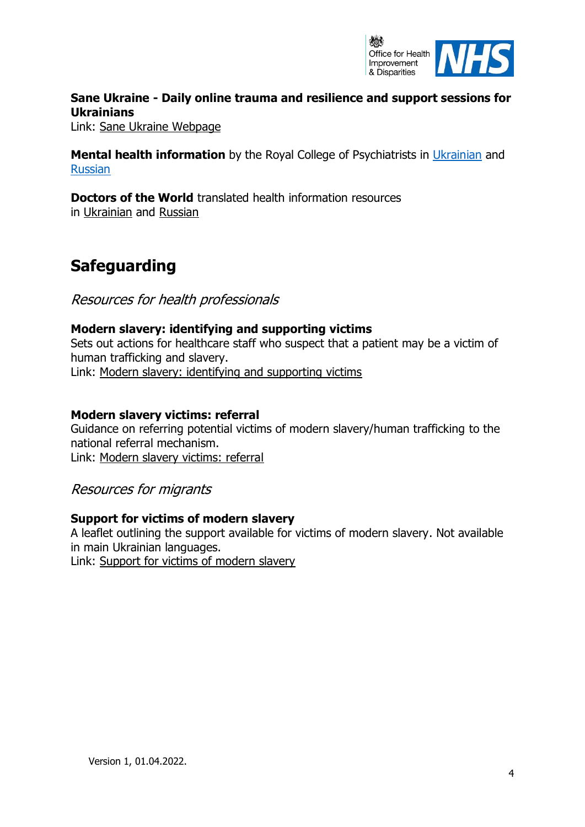

## **Sane Ukraine - Daily online trauma and resilience and support sessions for Ukrainians**

Link: [Sane Ukraine Webpage](https://saneukraineonline.org/)

**Mental health information** by the Royal College of Psychiatrists in [Ukrainian](https://www.rcpsych.ac.uk/mental-health/translations/ukrainian) and [Russian](https://www.rcpsych.ac.uk/mental-health/translations/russian)

**Doctors of the World** translated health information resources in [Ukrainian](https://eur03.safelinks.protection.outlook.com/?url=https%3A%2F%2Fwww.doctorsoftheworld.org.uk%2Ftranslated-health-information%2F%3F_language%3D819110a3fcbfa44a3d422a0a5cdc5af1&data=04%7C01%7CMo.Sadiq%40dhsc.gov.uk%7C6e7061f3ccf54437e15608da08e86215%7C61278c3091a84c318c1fef4de8973a1c%7C1%7C0%7C637832091402823369%7CUnknown%7CTWFpbGZsb3d8eyJWIjoiMC4wLjAwMDAiLCJQIjoiV2luMzIiLCJBTiI6Ik1haWwiLCJXVCI6Mn0%3D%7C3000&sdata=R9UzJBmo6xVthNOssq7uqTPF%2BThStzDL9cMiZkNYtp4%3D&reserved=0) and [Russian](https://eur03.safelinks.protection.outlook.com/?url=https%3A%2F%2Fwww.doctorsoftheworld.org.uk%2Ftranslated-health-information%2F%3F_language%3D035684a03373156245fb5643549a38ee&data=04%7C01%7CMo.Sadiq%40dhsc.gov.uk%7C6e7061f3ccf54437e15608da08e86215%7C61278c3091a84c318c1fef4de8973a1c%7C1%7C0%7C637832091402823369%7CUnknown%7CTWFpbGZsb3d8eyJWIjoiMC4wLjAwMDAiLCJQIjoiV2luMzIiLCJBTiI6Ik1haWwiLCJXVCI6Mn0%3D%7C3000&sdata=fcjioD7DJXnnpZfGuClnBhLdNkoRTvQy5moQiE424oA%3D&reserved=0)

# **Safeguarding**

Resources for health professionals

### **Modern slavery: identifying and supporting victims**

Sets out actions for healthcare staff who suspect that a patient may be a victim of human trafficking and slavery. Link: [Modern slavery: identifying and supporting victims](https://www.gov.uk/government/publications/identifying-and-supporting-victims-of-human-trafficking-guidance-for-health-staff)

#### **Modern slavery victims: referral**

Guidance on referring potential victims of modern slavery/human trafficking to the national referral mechanism. Link: [Modern slavery victims: referral](https://www.gov.uk/government/publications/human-trafficking-victims-referral-and-assessment-forms)

Resources for migrants

#### **Support for victims of modern slavery**

A leaflet outlining the support available for victims of modern slavery. Not available in main Ukrainian languages. Link: [Support for victims of modern slavery](https://www.gov.uk/government/publications/support-for-victims-of-human-trafficking)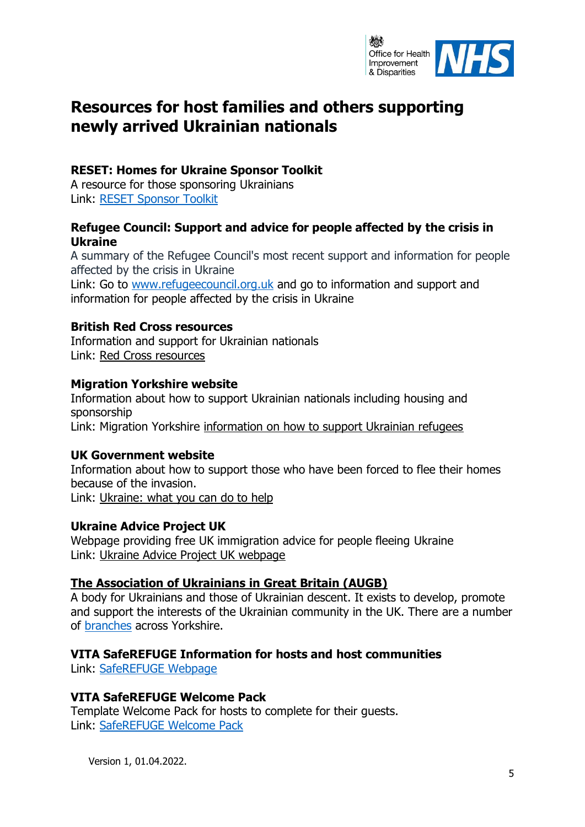

## **Resources for host families and others supporting newly arrived Ukrainian nationals**

#### **RESET: Homes for Ukraine Sponsor Toolkit**

A resource for those sponsoring Ukrainians Link: [RESET Sponsor Toolkit](https://resetuk.org/assets/Homes-for-Ukraine--Sponsor-Toolkit_v1_FINAL-1648486743.pdf)

#### **Refugee Council: Support and advice for people affected by the crisis in Ukraine**

A summary of the Refugee Council's most recent support and information for people affected by the crisis in Ukraine

Link: Go to [www.refugeecouncil.org.uk](http://www.refugeecouncil.org.uk/) and go to information and support and information for people affected by the crisis in Ukraine

#### **British Red Cross resources**

Information and support for Ukrainian nationals Link: [Red Cross resources](https://eur03.safelinks.protection.outlook.com/?url=https%3A%2F%2Fwww.redcross.org.uk%2Fget-help%2Fget-help-as-a-refugee%2Fhelp-for-refugees-from-ukraine&data=04%7C01%7CMo.Sadiq%40dhsc.gov.uk%7C38b36e24e2cf418a0d6a08da037ae13f%7C61278c3091a84c318c1fef4de8973a1c%7C1%7C0%7C637826123540953419%7CUnknown%7CTWFpbGZsb3d8eyJWIjoiMC4wLjAwMDAiLCJQIjoiV2luMzIiLCJBTiI6Ik1haWwiLCJXVCI6Mn0%3D%7C3000&sdata=PpQqNndm5uIX6lhve3U5KpmRYik1CemtVWjw3soKToI%3D&reserved=0)

#### **Migration Yorkshire website**

Information about how to support Ukrainian nationals including housing and sponsorship Link: Migration Yorkshire [information on how to support Ukrainian refugees](https://eur03.safelinks.protection.outlook.com/?url=https%3A%2F%2Fwww.migrationyorkshire.org.uk%2F%3Fpage%3Dsupporting-ukrainians&data=04%7C01%7CMo.Sadiq%40dhsc.gov.uk%7C38b36e24e2cf418a0d6a08da037ae13f%7C61278c3091a84c318c1fef4de8973a1c%7C1%7C0%7C637826123540953419%7CUnknown%7CTWFpbGZsb3d8eyJWIjoiMC4wLjAwMDAiLCJQIjoiV2luMzIiLCJBTiI6Ik1haWwiLCJXVCI6Mn0%3D%7C3000&sdata=jq7KLUYQPRkkqLwxB8PT5xt1opS3t6D%2FZBSSBBkNKrg%3D&reserved=0)

#### **UK Government website**

Information about how to support those who have been forced to flee their homes because of the invasion. Link: [Ukraine: what you can do to help](https://eur03.safelinks.protection.outlook.com/?url=https%3A%2F%2Fwww.gov.uk%2Fgovernment%2Fnews%2Fukraine-what-you-can-do-to-help%3Futm_medium%3Demail%26utm_campaign%3Dgovuk-notifications-topic%26utm_source%3Dddb0930b-8699-44c7-a74a-0360bca456c4%26utm_content%3Ddaily&data=04%7C01%7CMo.Sadiq%40dhsc.gov.uk%7C38b36e24e2cf418a0d6a08da037ae13f%7C61278c3091a84c318c1fef4de8973a1c%7C1%7C0%7C637826123540953419%7CUnknown%7CTWFpbGZsb3d8eyJWIjoiMC4wLjAwMDAiLCJQIjoiV2luMzIiLCJBTiI6Ik1haWwiLCJXVCI6Mn0%3D%7C3000&sdata=foiO8LgvtI%2F%2FhgicVtyIl7Gxo%2FvFABrZFtj1UUJlRto%3D&reserved=0)

#### **Ukraine Advice Project UK**

Webpage providing free UK immigration advice for people fleeing Ukraine Link: [Ukraine Advice Project UK webpage](https://advice-ukraine.co.uk/)

#### **[The Association of Ukrainians in Great Britain \(AUGB\)](https://www.augb.co.uk/index.php)**

A body for Ukrainians and those of Ukrainian descent. It exists to develop, promote and support the interests of the Ukrainian community in the UK. There are a number of [branches](https://www.augb.co.uk/branches.php) across Yorkshire.

#### **VITA SafeREFUGE Information for hosts and host communities**

Link: [SafeREFUGE Webpage](https://vita-network.com/saferefuge/#hosts)

#### **VITA SafeREFUGE Welcome Pack**

Template Welcome Pack for hosts to complete for their guests. Link: [SafeREFUGE Welcome Pack](https://vita-network.com/wp-content/uploads/2022/03/VITA_SafeRefuge_HostPack-FINAL.pdf)

Version 1, 01.04.2022.